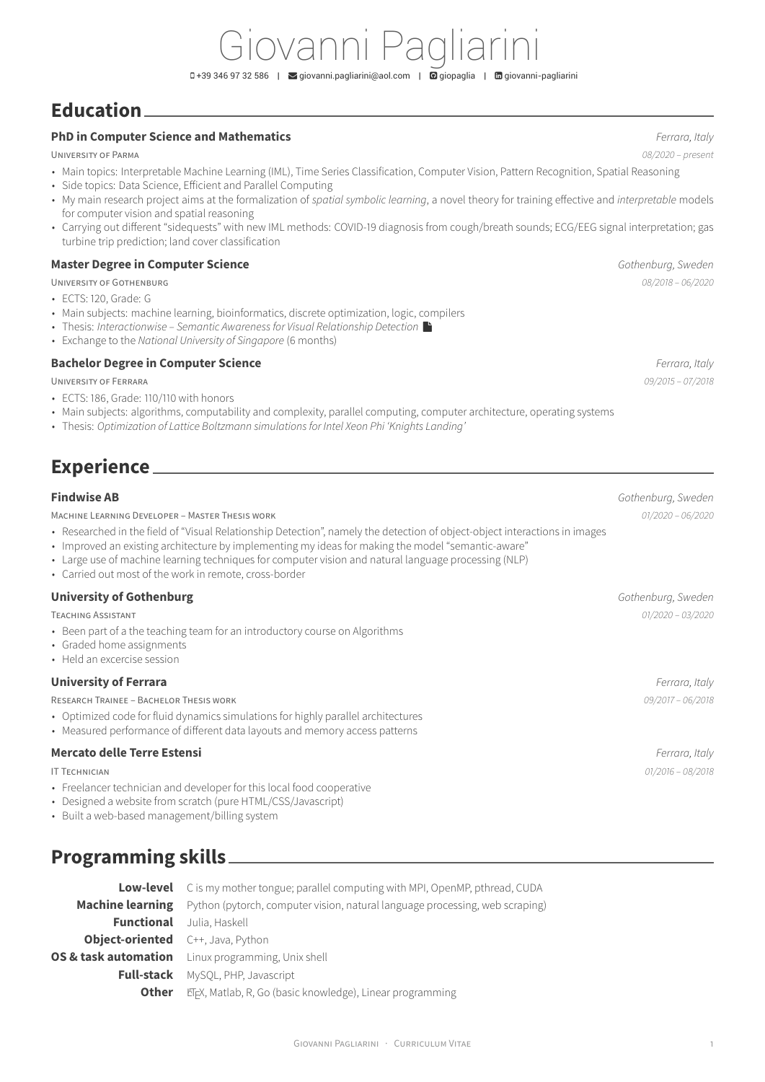# iovanni Pagliarini +39 346 97 32 586 | [giovanni.pagliarini@aol.com](mailto:giovanni.pagliarini@aol.com) | [giopaglia](https://github.com/giopaglia) | [giovanni-pagliarini](https://www.linkedin.com/in/giovanni-pagliarini)

# **Education**

### **PhD in Computer Science and Mathematics** *Ferrara, Italy*

UNIVERSITY OF PARMA *08/2020 – present*

- Main topics: Interpretable Machine Learning (IML), Time Series Classification, Computer Vision, Pattern Recognition, Spatial Reasoning
- Side topics: Data Science, Efficient and Parallel Computing
- My main research project aims at the formalization of *spatial symbolic learning*, a novel theory for training effective and *interpretable* models for computer vision and spatial reasoning
- Carrying out different "sidequests" with new IML methods: COVID-19 diagnosis from cough/breath sounds; ECG/EEG signal interpretation; gas turbine trip prediction; land cover classification

### **Master Degree in Computer Science** *Gothenburg, Sweden*

UNIVERSITY OF GOTHENBURG *08/2018 – 06/2020*

- ECTS: 120, Grade: G
- Main subjects: machine learning, bioinformatics, discrete optimization, logic, compilers
- Thesis: *Interactionwise Semantic Awareness for Visual Relationship Detection*
- Exchange to the *National University of Singapore* (6 months)

### **Bachelor Degree in Computer Science** *Ferrara, Italy*

UNIVERSITY OF FERRARA *09/2015 – 07/2018*

- ECTS: 186, Grade: 110/110 with honors
- Main subjects: algorithms, computability and complexity, parallel computing, computer architecture, operating systems
- Thesis: *Optimization of Lattice Boltzmann simulations for Intel Xeon Phi 'Knights Landing'*

## **Experience**

### **Findwise AB** *Gothenburg, Sweden*

MACHINE LEARNING DEVELOPER – MASTER THESIS WORK *01/2020 – 06/2020* • Researched in the field of "Visual Relationship Detection", namely the detection of object-object interactions in images • Improved an existing architecture by implementing my ideas for making the model "semantic-aware" • Large use of machine learning techniques for computer vision and natural language processing (NLP) • Carried out most of the work in remote, cross-border **University of Gothenburg** *Gothenburg, Sweden* TEACHING ASSISTANT *01/2020 – 03/2020* • Been part of a the teaching team for an introductory course on Algorithms • Graded home assignments • Held an excercise session **University of Ferrara** *Ferrara, Italy* RESEARCH TRAINEE – BACHELOR THESIS WORK *09/2017 – 06/2018* • Optimized code for fluid dynamics simulations for highly parallel architectures • Measured performance of different data layouts and memory access patterns **Mercato delle Terre Estensi** *Ferrara, Italy* IT TECHNICIAN *01/2016 – 08/2018*

- Freelancer technician and developer for this local food cooperative
- Designed a website from scratch (pure HTML/CSS/Javascript)
- Built a web-based management/billing system

# **Programming skills**

|                                          | <b>Low-level</b> C is my mother tongue; parallel computing with MPI, OpenMP, pthread, CUDA           |
|------------------------------------------|------------------------------------------------------------------------------------------------------|
|                                          | <b>Machine learning</b> Python (pytorch, computer vision, natural language processing, web scraping) |
| <b>Functional</b>                        | Julia, Haskell                                                                                       |
| <b>Object-oriented</b> C++, Java, Python |                                                                                                      |
|                                          | <b>OS &amp; task automation</b> Linux programming, Unix shell                                        |
| <b>Full-stack</b>                        | MySQL, PHP, Javascript                                                                               |
| Other                                    | LIFX, Matlab, R, Go (basic knowledge), Linear programming                                            |